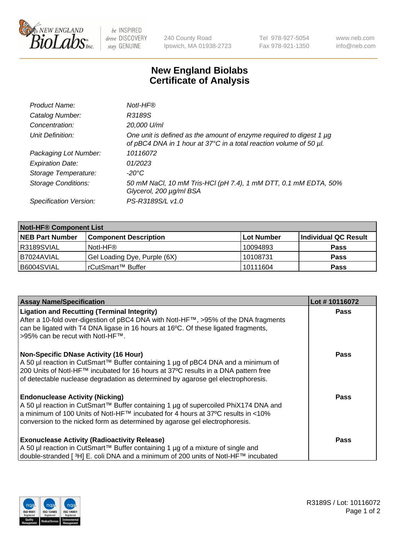

be INSPIRED drive DISCOVERY stay GENUINE

240 County Road Ipswich, MA 01938-2723 Tel 978-927-5054 Fax 978-921-1350 www.neb.com info@neb.com

## **New England Biolabs Certificate of Analysis**

| Product Name:              | Notl-HF®                                                                                                                                  |
|----------------------------|-------------------------------------------------------------------------------------------------------------------------------------------|
| Catalog Number:            | R3189S                                                                                                                                    |
| Concentration:             | 20,000 U/ml                                                                                                                               |
| Unit Definition:           | One unit is defined as the amount of enzyme required to digest 1 µg<br>of pBC4 DNA in 1 hour at 37°C in a total reaction volume of 50 µl. |
| Packaging Lot Number:      | 10116072                                                                                                                                  |
| <b>Expiration Date:</b>    | 01/2023                                                                                                                                   |
| Storage Temperature:       | $-20^{\circ}$ C                                                                                                                           |
| <b>Storage Conditions:</b> | 50 mM NaCl, 10 mM Tris-HCl (pH 7.4), 1 mM DTT, 0.1 mM EDTA, 50%<br>Glycerol, 200 µg/ml BSA                                                |
| Specification Version:     | PS-R3189S/L v1.0                                                                                                                          |

| <b>Notl-HF® Component List</b> |                              |            |                      |  |  |
|--------------------------------|------------------------------|------------|----------------------|--|--|
| <b>NEB Part Number</b>         | <b>Component Description</b> | Lot Number | Individual QC Result |  |  |
| R3189SVIAL                     | Notl-HF®                     | 10094893   | <b>Pass</b>          |  |  |
| I B7024AVIAL                   | Gel Loading Dye, Purple (6X) | 10108731   | <b>Pass</b>          |  |  |
| B6004SVIAL                     | l rCutSmart™ Buffer          | 10111604   | <b>Pass</b>          |  |  |

| <b>Assay Name/Specification</b>                                                                                                                                                                                                                                                                             | Lot #10116072 |
|-------------------------------------------------------------------------------------------------------------------------------------------------------------------------------------------------------------------------------------------------------------------------------------------------------------|---------------|
| <b>Ligation and Recutting (Terminal Integrity)</b><br>After a 10-fold over-digestion of pBC4 DNA with Notl-HF™, >95% of the DNA fragments<br>can be ligated with T4 DNA ligase in 16 hours at 16°C. Of these ligated fragments,<br>>95% can be recut with Notl-HF™.                                         | <b>Pass</b>   |
| <b>Non-Specific DNase Activity (16 Hour)</b><br>A 50 µl reaction in CutSmart™ Buffer containing 1 µg of pBC4 DNA and a minimum of<br>200 Units of Notl-HF™ incubated for 16 hours at 37°C results in a DNA pattern free<br>of detectable nuclease degradation as determined by agarose gel electrophoresis. | <b>Pass</b>   |
| <b>Endonuclease Activity (Nicking)</b><br>A 50 µl reaction in CutSmart™ Buffer containing 1 µg of supercoiled PhiX174 DNA and<br>a minimum of 100 Units of Notl-HF™ incubated for 4 hours at 37°C results in <10%<br>conversion to the nicked form as determined by agarose gel electrophoresis.            | <b>Pass</b>   |
| <b>Exonuclease Activity (Radioactivity Release)</b><br>A 50 µl reaction in CutSmart™ Buffer containing 1 µg of a mixture of single and<br>double-stranded [ <sup>3</sup> H] E. coli DNA and a minimum of 200 units of Notl-HF™ incubated                                                                    | <b>Pass</b>   |